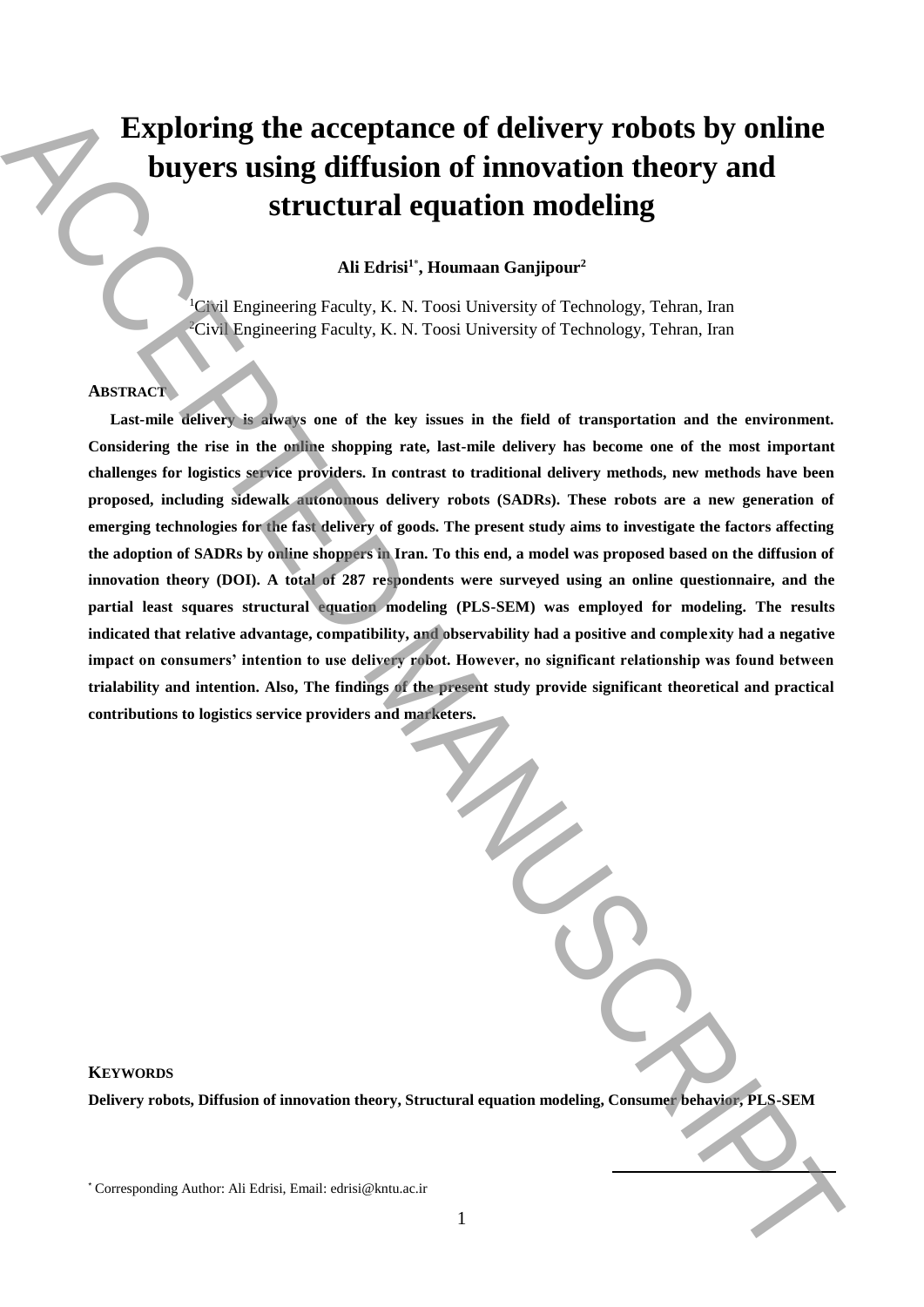# **Exploring the acceptance of delivery robots by online buyers using diffusion of innovation theory and structural equation modeling**

**Ali Edrisi<sup>1</sup>**\* **, Houmaan Ganjipour<sup>2</sup>**

<sup>1</sup>Civil Engineering Faculty, K. N. Toosi University of Technology, Tehran, Iran <sup>2</sup>Civil Engineering Faculty, K. N. Toosi University of Technology, Tehran, Iran

## **ABSTRACT**

**Last-mile delivery is always one of the key issues in the field of transportation and the environment. Considering the rise in the online shopping rate, last-mile delivery has become one of the most important challenges for logistics service providers. In contrast to traditional delivery methods, new methods have been proposed, including sidewalk autonomous delivery robots (SADRs). These robots are a new generation of emerging technologies for the fast delivery of goods. The present study aims to investigate the factors affecting the adoption of SADRs by online shoppers in Iran. To this end, a model was proposed based on the diffusion of innovation theory (DOI). A total of 287 respondents were surveyed using an online questionnaire, and the partial least squares structural equation modeling (PLS-SEM) was employed for modeling. The results indicated that relative advantage, compatibility, and observability had a positive and complexity had a negative impact on consumers' intention to use delivery robot. However, no significant relationship was found between trialability and intention. Also, The findings of the present study provide significant theoretical and practical contributions to logistics service providers and marketers.** Exploring the acceptance of delivery robots by online<br>buyers using diffusion of innovation theory and<br>structural equation modeling<br>structural equation modeling<br> $\frac{600}{2}$  (Figure model heads. K.N.Tos) interains of Techno

**KEYWORDS**

**Delivery robots, Diffusion of innovation theory, Structural equation modeling, Consumer behavior, PLS-SEM**

**.**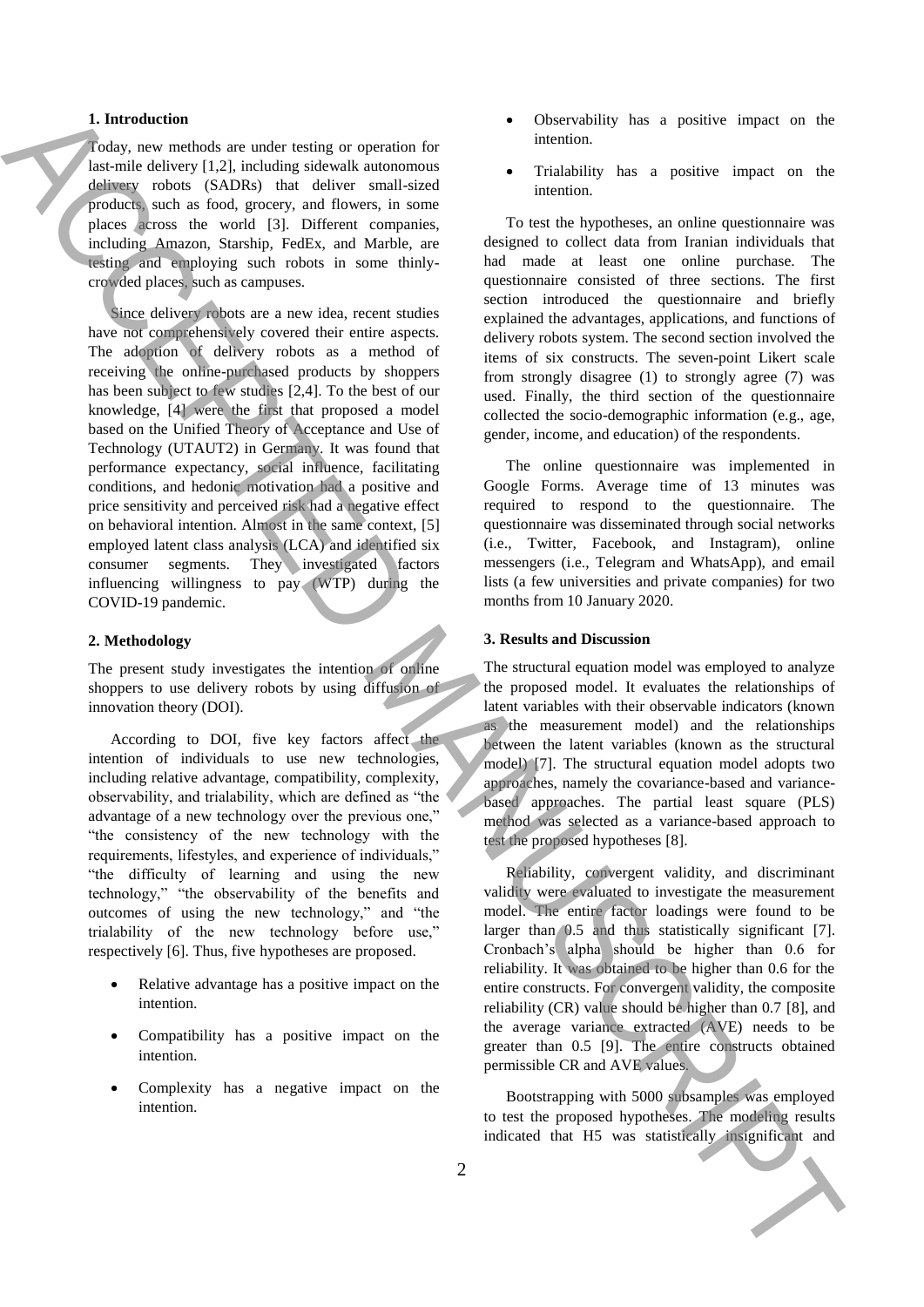## **1. Introduction**

Today, new methods are under testing or operation for last-mile delivery [1,2], including sidewalk autonomous delivery robots (SADRs) that deliver small-sized products, such as food, grocery, and flowers, in some places across the world [3]. Different companies, including Amazon, Starship, FedEx, and Marble, are testing and employing such robots in some thinlycrowded places, such as campuses.

Since delivery robots are a new idea, recent studies have not comprehensively covered their entire aspects. The adoption of delivery robots as a method of receiving the online-purchased products by shoppers has been subject to few studies [2,4]. To the best of our knowledge, [4] were the first that proposed a model based on the Unified Theory of Acceptance and Use of Technology (UTAUT2) in Germany. It was found that performance expectancy, social influence, facilitating conditions, and hedonic motivation had a positive and price sensitivity and perceived risk had a negative effect on behavioral intention. Almost in the same context, [5] employed latent class analysis (LCA) and identified six consumer segments. They investigated factors influencing willingness to pay (WTP) during the COVID-19 pandemic. **indicate the results of the contents of the contents of the results of the results of the results of the results of the results of the results of the results of the results of the results of the results of the results of** 

## **2. Methodology**

The present study investigates the intention of online shoppers to use delivery robots by using diffusion of innovation theory (DOI).

According to DOI, five key factors affect the intention of individuals to use new technologies, including relative advantage, compatibility, complexity, observability, and trialability, which are defined as "the advantage of a new technology over the previous one," "the consistency of the new technology with the requirements, lifestyles, and experience of individuals," "the difficulty of learning and using the new technology," "the observability of the benefits and outcomes of using the new technology," and "the trialability of the new technology before use," respectively [6]. Thus, five hypotheses are proposed.

- Relative advantage has a positive impact on the intention.
- Compatibility has a positive impact on the intention.
- Complexity has a negative impact on the intention.
- Observability has a positive impact on the intention.
- Trialability has a positive impact on the intention.

To test the hypotheses, an online questionnaire was designed to collect data from Iranian individuals that had made at least one online purchase. The questionnaire consisted of three sections. The first section introduced the questionnaire and briefly explained the advantages, applications, and functions of delivery robots system. The second section involved the items of six constructs. The seven-point Likert scale from strongly disagree (1) to strongly agree (7) was used. Finally, the third section of the questionnaire collected the socio-demographic information (e.g., age, gender, income, and education) of the respondents.

The online questionnaire was implemented in Google Forms. Average time of 13 minutes was required to respond to the questionnaire. The questionnaire was disseminated through social networks (i.e., Twitter, Facebook, and Instagram), online messengers (i.e., Telegram and WhatsApp), and email lists (a few universities and private companies) for two months from 10 January 2020.

#### **3. Results and Discussion**

The structural equation model was employed to analyze the proposed model. It evaluates the relationships of latent variables with their observable indicators (known as the measurement model) and the relationships between the latent variables (known as the structural model) [7]. The structural equation model adopts two approaches, namely the covariance-based and variancebased approaches. The partial least square (PLS) method was selected as a variance-based approach to test the proposed hypotheses [8].

Reliability, convergent validity, and discriminant validity were evaluated to investigate the measurement model. The entire factor loadings were found to be larger than  $0.5$  and thus statistically significant [7]. Cronbach's alpha should be higher than 0.6 for reliability. It was obtained to be higher than 0.6 for the entire constructs. For convergent validity, the composite reliability (CR) value should be higher than 0.7 [8], and the average variance extracted (AVE) needs to be greater than 0.5 [9]. The entire constructs obtained permissible CR and AVE values.

Bootstrapping with 5000 subsamples was employed to test the proposed hypotheses. The modeling results